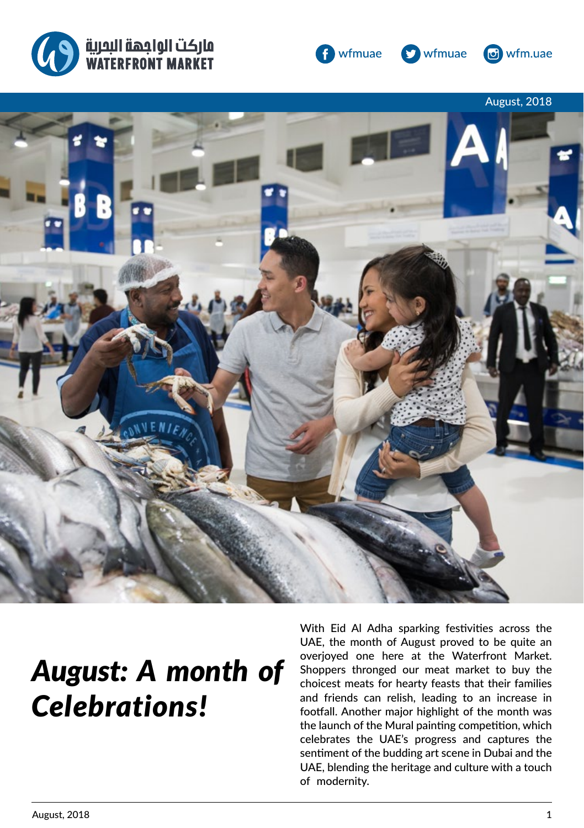





ci wfm.uae



# *August: A month of Celebrations!*

With Eid Al Adha sparking festivities across the UAE, the month of August proved to be quite an overjoyed one here at the Waterfront Market. Shoppers thronged our meat market to buy the choicest meats for hearty feasts that their families and friends can relish, leading to an increase in footfall. Another major highlight of the month was the launch of the Mural painting competition, which celebrates the UAE's progress and captures the sentiment of the budding art scene in Dubai and the UAE, blending the heritage and culture with a touch of modernity.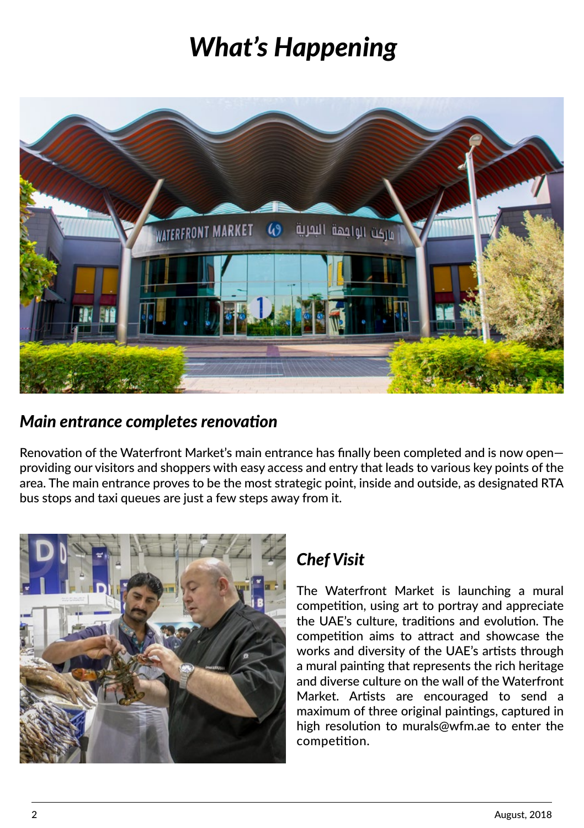# *What's Happening*



#### *Main entrance completes renovation*

Renovation of the Waterfront Market's main entrance has finally been completed and is now open providing our visitors and shoppers with easy access and entry that leads to various key points of the area. The main entrance proves to be the most strategic point, inside and outside, as designated RTA bus stops and taxi queues are just a few steps away from it.



## *Chef Visit*

The Waterfront Market is launching a mural competition, using art to portray and appreciate the UAE's culture, traditions and evolution. The competition aims to attract and showcase the works and diversity of the UAE's artists through a mural painting that represents the rich heritage and diverse culture on the wall of the Waterfront Market. Artists are encouraged to send a maximum of three original paintings, captured in high resolution to murals@wfm.ae to enter the competition.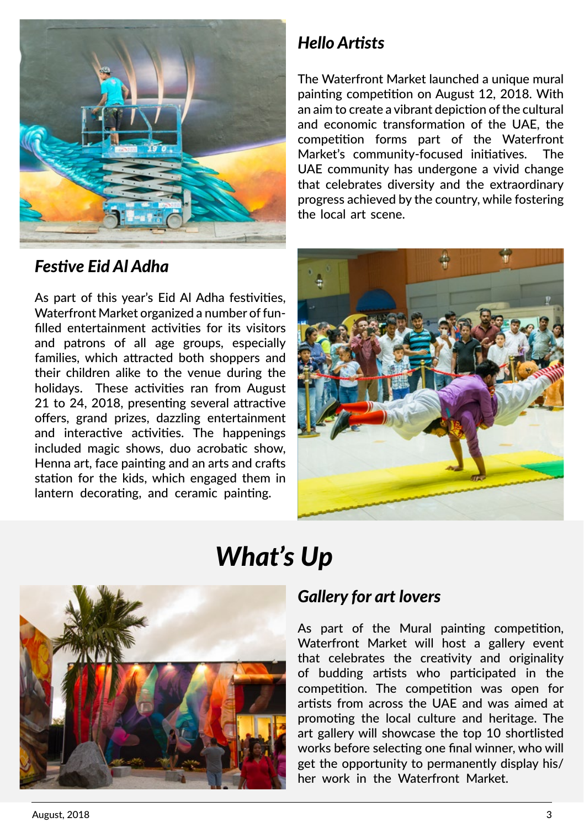

## *Hello Artists*

The Waterfront Market launched a unique mural painting competition on August 12, 2018. With an aim to create a vibrant depiction of the cultural and economic transformation of the UAE, the competition forms part of the Waterfront Market's community-focused initiatives. The UAE community has undergone a vivid change that celebrates diversity and the extraordinary progress achieved by the country, while fostering the local art scene.

### *Festive Eid Al Adha*

As part of this year's Eid Al Adha festivities, Waterfront Market organized a number of funfilled entertainment activities for its visitors and patrons of all age groups, especially families, which attracted both shoppers and their children alike to the venue during the holidays. These activities ran from August 21 to 24, 2018, presenting several attractive offers, grand prizes, dazzling entertainment and interactive activities. The happenings included magic shows, duo acrobatic show, Henna art, face painting and an arts and crafts station for the kids, which engaged them in lantern decorating, and ceramic painting.



## *What's Up*



#### *Gallery for art lovers*

As part of the Mural painting competition, Waterfront Market will host a gallery event that celebrates the creativity and originality of budding artists who participated in the competition. The competition was open for artists from across the UAE and was aimed at promoting the local culture and heritage. The art gallery will showcase the top 10 shortlisted works before selecting one final winner, who will get the opportunity to permanently display his/ her work in the Waterfront Market.